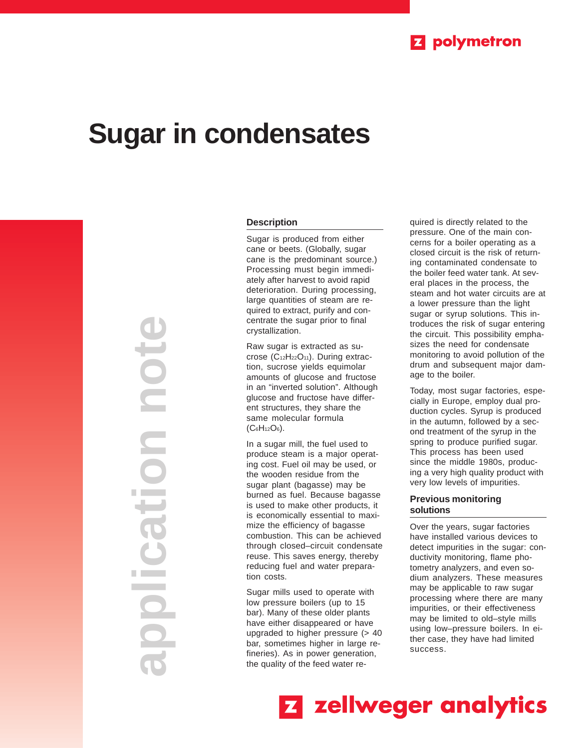

# **Sugar in condensates**

**application note** note ation a kacamatan 

### **Description**

Sugar is produced from either cane or beets. (Globally, sugar cane is the predominant source.) Processing must begin immediately after harvest to avoid rapid deterioration. During processing, large quantities of steam are required to extract, purify and concentrate the sugar prior to final crystallization.

Raw sugar is extracted as sucrose (C12H22O11). During extraction, sucrose yields equimolar amounts of glucose and fructose in an "inverted solution". Although glucose and fructose have different structures, they share the same molecular formula  $(C_6H_{12}O_6)$ .

In a sugar mill, the fuel used to produce steam is a major operating cost. Fuel oil may be used, or the wooden residue from the sugar plant (bagasse) may be burned as fuel. Because bagasse is used to make other products, it is economically essential to maximize the efficiency of bagasse combustion. This can be achieved through closed–circuit condensate reuse. This saves energy, thereby reducing fuel and water preparation costs.

Sugar mills used to operate with low pressure boilers (up to 15 bar). Many of these older plants have either disappeared or have upgraded to higher pressure (> 40 bar, sometimes higher in large refineries). As in power generation, the quality of the feed water required is directly related to the pressure. One of the main concerns for a boiler operating as a closed circuit is the risk of returning contaminated condensate to the boiler feed water tank. At several places in the process, the steam and hot water circuits are at a lower pressure than the light sugar or syrup solutions. This introduces the risk of sugar entering the circuit. This possibility emphasizes the need for condensate monitoring to avoid pollution of the drum and subsequent major damage to the boiler.

Today, most sugar factories, especially in Europe, employ dual production cycles. Syrup is produced in the autumn, followed by a second treatment of the syrup in the spring to produce purified sugar. This process has been used since the middle 1980s, producing a very high quality product with very low levels of impurities.

## **Previous monitoring solutions**

Over the years, sugar factories have installed various devices to detect impurities in the sugar: conductivity monitoring, flame photometry analyzers, and even sodium analyzers. These measures may be applicable to raw sugar processing where there are many impurities, or their effectiveness may be limited to old–style mills using low–pressure boilers. In either case, they have had limited success.

**Z** zellweger analytics